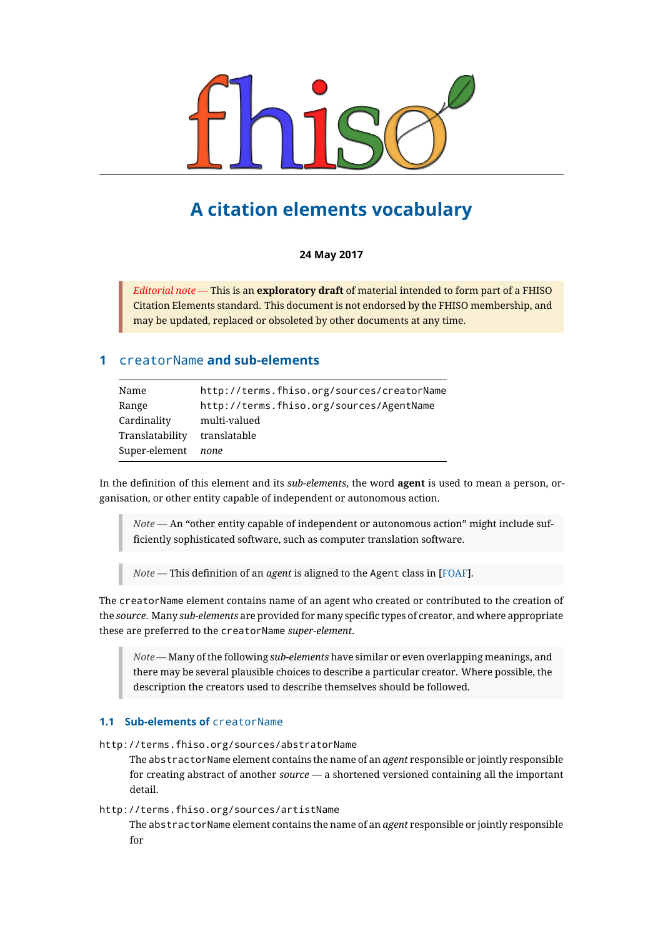

# **A citation elements vocabulary**

# **24 May 2017**

*Editorial note* — This is an **exploratory draft** of material intended to form part of a FHISO Citation Elements standard. This document is not endorsed by the FHISO membership, and may be updated, replaced or obsoleted by other documents at any time.

# **1** creatorName **and sub-elements**

| Name            | http://terms.fhiso.org/sources/creatorName |
|-----------------|--------------------------------------------|
| Range           | http://terms.fhiso.org/sources/AgentName   |
| Cardinality     | multi-valued                               |
| Translatability | translatable                               |
| Super-element   | none                                       |

In the definition of this element and its *sub-elements*, the word **agent** is used to mean a person, organisation, or other entity capable of independent or autonomous action.

*Note* — An "other entity capable of independent or autonomous action" might include sufficiently sophisticated software, such as computer translation software.

*Note* — This definition of an *agent* is aligned to the Agent class in [FOAF].

The creatorName element contains name of an agent who created or contributed to the creation of the *source*. Many *sub-elements* are provided for many specific types of creator, and where appropriate these are preferred to the creatorName *super-element*.

*Note* — Many of the following *sub-elements* have similar or even overlapping meanings, and there may be several plausible choices to describe a particular creator. Where possible, the description the creators used to describe themselves should be followed.

# **1.1 Sub-elements of** creatorName

http://terms.fhiso.org/sources/abstratorName

The abstractorName element contains the name of an *agent* responsible or jointly responsible for creating abstract of another *source* — a shortened versioned containing all the important detail.

http://terms.fhiso.org/sources/artistName

The abstractorName element contains the name of an *agent* responsible or jointly responsible for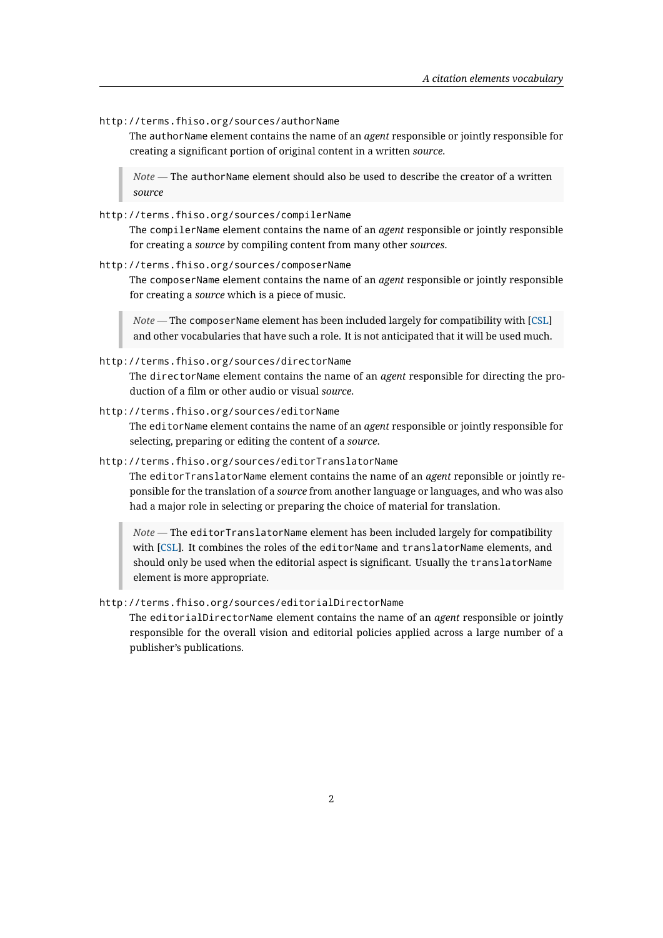http://terms.fhiso.org/sources/authorName

The authorName element contains the name of an *agent* responsible or jointly responsible for creating a significant portion of original content in a written *source*.

*Note* — The authorName element should also be used to describe the creator of a written *source*

http://terms.fhiso.org/sources/compilerName

The compilerName element contains the name of an *agent* responsible or jointly responsible for creating a *source* by compiling content from many other *sources*.

http://terms.fhiso.org/sources/composerName

The composerName element contains the name of an *agent* responsible or jointly responsible for creating a *source* which is a piece of music.

*Note* — The composerName element has been included largely for compatibility with [CSL] and other vocabularies that have such a role. It is not anticipated that it will be used much.

http://terms.fhiso.org/sources/directorName

The directorName element contains the name of an *agent* responsible for directing [the p](//docs.citationstyles.org/en/stable/specification.html)roduction of a film or other audio or visual *source*.

http://terms.fhiso.org/sources/editorName

The editorName element contains the name of an *agent* responsible or jointly responsible for selecting, preparing or editing the content of a *source*.

http://terms.fhiso.org/sources/editorTranslatorName

The editorTranslatorName element contains the name of an *agent* reponsible or jointly reponsible for the translation of a *source* from another language or languages, and who was also had a major role in selecting or preparing the choice of material for translation.

*Note* — The editorTranslatorName element has been included largely for compatibility with [CSL]. It combines the roles of the editorName and translatorName elements, and should only be used when the editorial aspect is significant. Usually the translatorName element is more appropriate.

http://ter[ms.f](//docs.citationstyles.org/en/stable/specification.html)hiso.org/sources/editorialDirectorName

The editorialDirectorName element contains the name of an *agent* responsible or jointly responsible for the overall vision and editorial policies applied across a large number of a publisher's publications.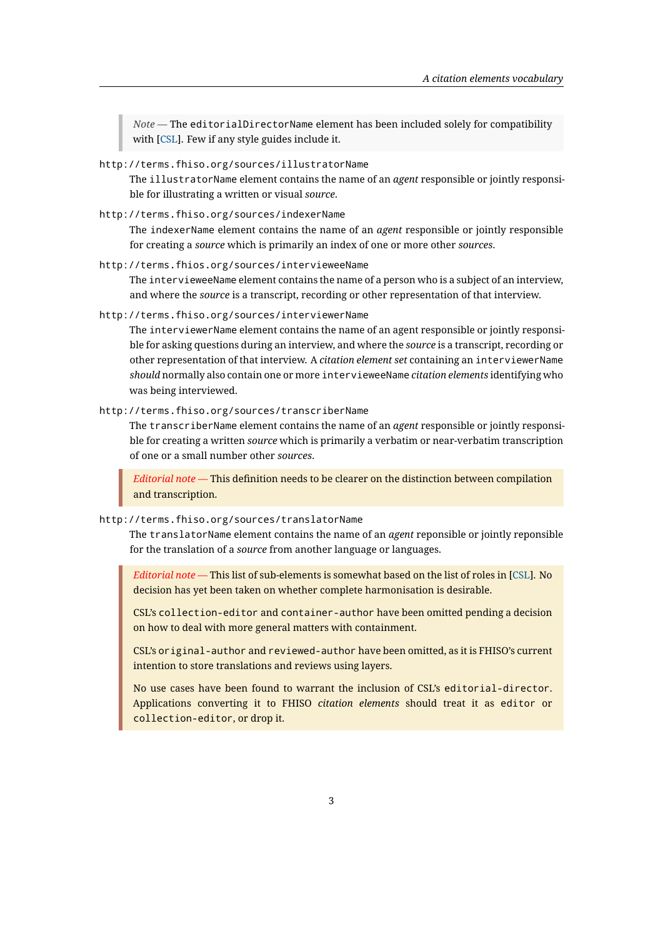*Note* — The editorialDirectorName element has been included solely for compatibility with [CSL]. Few if any style guides include it.

# http://terms.fhiso.org/sources/illustratorName

The illustratorName element contains the name of an *agent* responsible or jointly responsible fo[r illu](//docs.citationstyles.org/en/stable/specification.html)strating a written or visual *source*.

http://terms.fhiso.org/sources/indexerName

The indexerName element contains the name of an *agent* responsible or jointly responsible for creating a *source* which is primarily an index of one or more other *sources*.

http://terms.fhios.org/sources/intervieweeName

The intervieweeName element contains the name of a person who is a subject of an interview, and where the *source* is a transcript, recording or other representation of that interview.

http://terms.fhiso.org/sources/interviewerName

The interviewerName element contains the name of an agent responsible or jointly responsible for asking questions during an interview, and where the *source* is a transcript, recording or other representation of that interview. A *citation element set* containing an interviewerName *should* normally also contain one or more intervieweeName *citation elements* identifying who was being interviewed.

http://terms.fhiso.org/sources/transcriberName

The transcriberName element contains the name of an *agent* responsible or jointly responsible for creating a written *source* which is primarily a verbatim or near-verbatim transcription of one or a small number other *sources*.

*Editorial note* — This definition needs to be clearer on the distinction between compilation and transcription.

# http://terms.fhiso.org/sources/translatorName

The translatorName element contains the name of an *agent* reponsible or jointly reponsible for the translation of a *source* from another language or languages.

*Editorial note* — This list of sub-elements is somewhat based on the list of roles in [CSL]. No decision has yet been taken on whether complete harmonisation is desirable.

CSL's collection-editor and container-author have been omitted pending a decision on how to deal with more general matters with containment.

CSL's original-author and reviewed-author have been omitted, as it is FHISO's current intention to store translations and reviews using layers.

No use cases have been found to warrant the inclusion of CSL's editorial-director. Applications converting it to FHISO *citation elements* should treat it as editor or collection-editor, or drop it.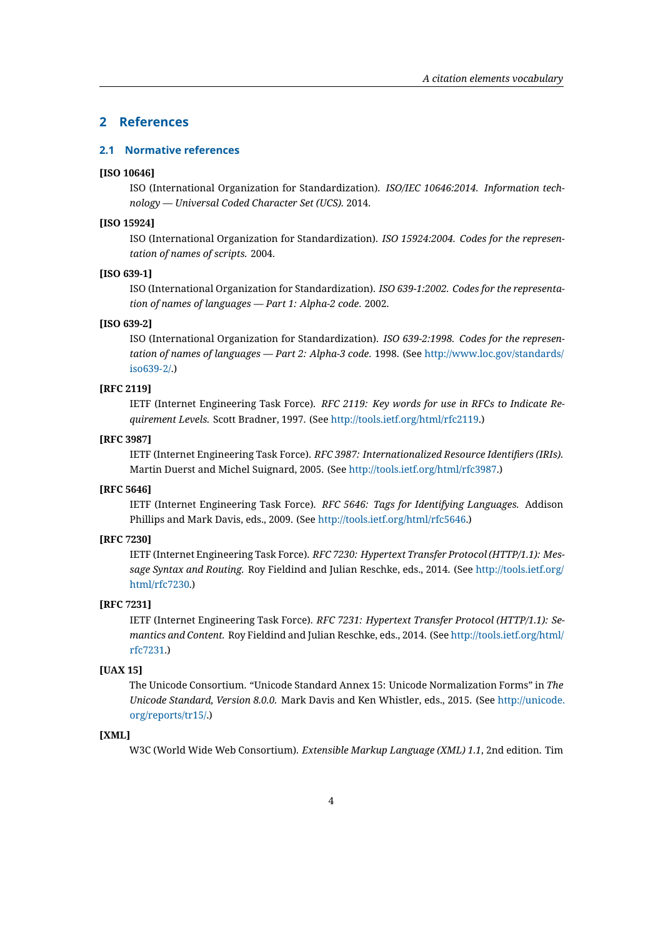# **2 References**

# **2.1 Normative references**

# **[ISO 10646]**

ISO (International Organization for Standardization). *ISO/IEC 10646:2014. Information technology — Universal Coded Character Set (UCS).* 2014.

# **[ISO 15924]**

ISO (International Organization for Standardization). *ISO 15924:2004. Codes for the representation of names of scripts.* 2004.

# **[ISO 639-1]**

ISO (International Organization for Standardization). *ISO 639-1:2002. Codes for the representation of names of languages — Part 1: Alpha-2 code*. 2002.

#### **[ISO 639-2]**

ISO (International Organization for Standardization). *ISO 639-2:1998. Codes for the representation of names of languages — Part 2: Alpha-3 code*. 1998. (See http://www.loc.gov/standards/ iso639-2/.)

#### **[RFC 2119]**

IETF (Internet Engineering Task Force). *RFC 2119: Key words [for use in RFCs to Indicate Re](http://www.loc.gov/standards/iso639-2/)[quiremen](http://www.loc.gov/standards/iso639-2/)t Levels.* Scott Bradner, 1997. (See http://tools.ietf.org/html/rfc2119.)

# **[RFC 3987]**

IETF (Internet Engineering Task Force). *RFC 3987: Internationalized Resource Identifiers (IRIs).* Martin Duerst and Michel Suignard, 2005. (See [http://tools.ietf.org/html/rfc3](http://tools.ietf.org/html/rfc2119)987.)

#### **[RFC 5646]**

IETF (Internet Engineering Task Force). *RFC 5646: Tags for Identifying Languages.* Addison Phillips and Mark Davis, eds., 2009. (See http://[tools.ietf.org/html/rfc5646.\)](http://tools.ietf.org/html/rfc3987)

# **[RFC 7230]**

IETF (Internet Engineering Task Force). *RFC 7230: Hypertext Transfer Protocol (HTTP/1.1): Message Syntax and Routing.* Roy Fieldind a[nd Julian Reschke, eds., 2014. \(Se](http://tools.ietf.org/html/rfc5646)e http://tools.ietf.org/ html/rfc7230.)

#### **[RFC 7231]**

IETF (Internet Engineering Task Force). *RFC 7231: Hypertext Transfer Prot[ocol \(HTTP/1.1\): Se](http://tools.ietf.org/html/rfc7230)[mantics and C](http://tools.ietf.org/html/rfc7230)ontent.* Roy Fieldind and Julian Reschke, eds., 2014. (See http://tools.ietf.org/html/ rfc7231.)

## **[UAX 15]**

The Unicode Consortium. "Unicode Standard Annex 15: Unicode Nor[malization Forms" in](http://tools.ietf.org/html/rfc7231) *The [Unicode](http://tools.ietf.org/html/rfc7231) Standard, Version 8.0.0.* Mark Davis and Ken Whistler, eds., 2015. (See http://unicode. org/reports/tr15/.)

#### **[XML]**

W3C (World Wide Web Consortium). *Extensible Markup Language (XML) 1.1*, 2[nd edition. Tim](http://unicode.org/reports/tr15/)